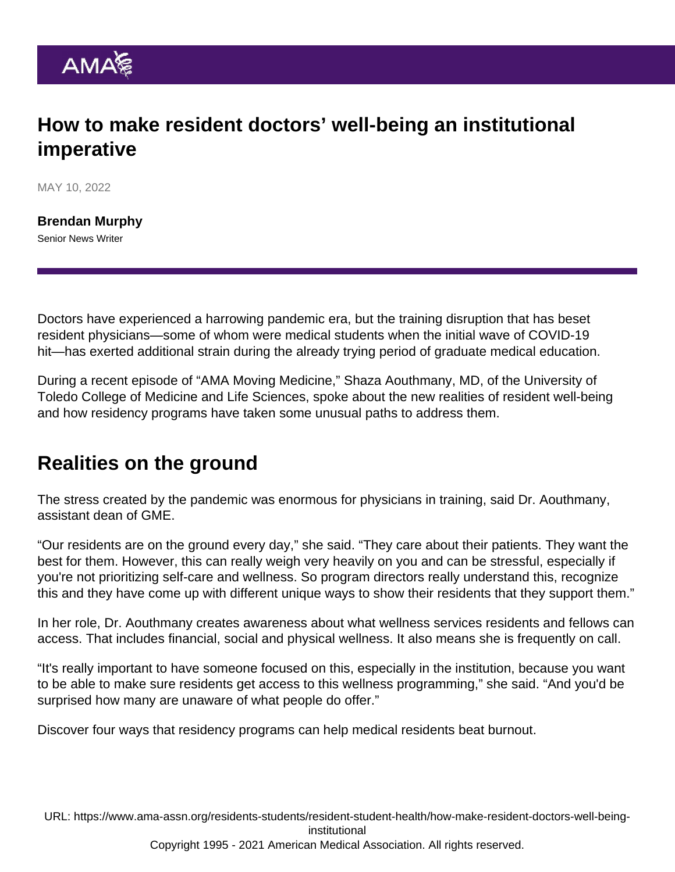## How to make resident doctors' well-being an institutional imperative

MAY 10, 2022

[Brendan Murphy](https://www.ama-assn.org/news-leadership-viewpoints/authors-news-leadership-viewpoints/brendan-murphy) Senior News Writer

Doctors have experienced a harrowing pandemic era, but the training disruption that has beset resident physicians—some of whom were medical students when the initial wave of COVID-19 hit—has exerted additional strain during the already trying period of graduate medical education.

During a [recent episode](https://www.ama-assn.org/residents-students/resident-student-health/meal-prep-kayaking-supporting-resident-wellness-shaza) of ["AMA Moving Medicine](https://www.ama-assn.org/series/moving-medicine-video-series)," Shaza Aouthmany, MD, of the University of Toledo College of Medicine and Life Sciences, spoke about the new realities of resident well-being and how residency programs have taken some unusual paths to address them.

## Realities on the ground

The stress created by the pandemic was enormous for physicians in training, said Dr. Aouthmany, assistant dean of GME.

"Our residents are on the ground every day," she said. "They care about their patients. They want the best for them. However, this can really weigh very heavily on you and can be stressful, especially if you're not prioritizing self-care and wellness. So program directors really understand this, recognize this and they have come up with different unique ways to show their residents that they support them."

In her role, Dr. Aouthmany creates awareness about what wellness services residents and fellows can access. That includes financial, social and physical wellness. It also means she is frequently on call.

"It's really important to have someone focused on this, especially in the institution, because you want to be able to make sure residents get access to this wellness programming," she said. "And you'd be surprised how many are unaware of what people do offer."

Discover four ways that [residency programs can help medical residents beat burnout.](https://www.ama-assn.org/residents-students/resident-student-health/4-ways-programs-can-help-medical-residents-beat-burnout)

URL: [https://www.ama-assn.org/residents-students/resident-student-health/how-make-resident-doctors-well-being](https://www.ama-assn.org/residents-students/resident-student-health/how-make-resident-doctors-well-being-institutional)[institutional](https://www.ama-assn.org/residents-students/resident-student-health/how-make-resident-doctors-well-being-institutional)